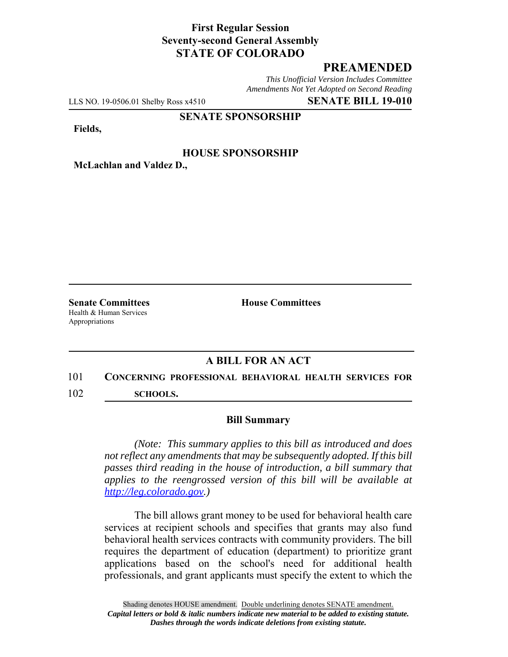## **First Regular Session Seventy-second General Assembly STATE OF COLORADO**

# **PREAMENDED**

*This Unofficial Version Includes Committee Amendments Not Yet Adopted on Second Reading*

LLS NO. 19-0506.01 Shelby Ross x4510 **SENATE BILL 19-010**

**SENATE SPONSORSHIP**

**Fields,**

### **HOUSE SPONSORSHIP**

**McLachlan and Valdez D.,**

Health & Human Services Appropriations

**Senate Committees House Committees** 

### **A BILL FOR AN ACT**

## 101 **CONCERNING PROFESSIONAL BEHAVIORAL HEALTH SERVICES FOR**

102 **SCHOOLS.**

#### **Bill Summary**

*(Note: This summary applies to this bill as introduced and does not reflect any amendments that may be subsequently adopted. If this bill passes third reading in the house of introduction, a bill summary that applies to the reengrossed version of this bill will be available at http://leg.colorado.gov.)*

The bill allows grant money to be used for behavioral health care services at recipient schools and specifies that grants may also fund behavioral health services contracts with community providers. The bill requires the department of education (department) to prioritize grant applications based on the school's need for additional health professionals, and grant applicants must specify the extent to which the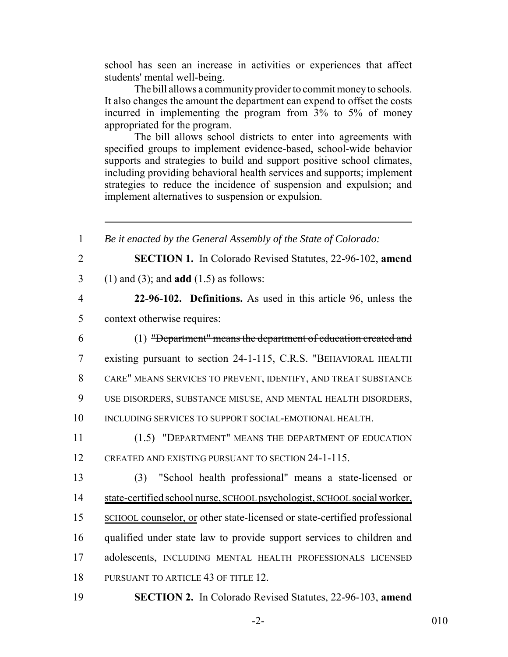school has seen an increase in activities or experiences that affect students' mental well-being.

The bill allows a community provider to commit money to schools. It also changes the amount the department can expend to offset the costs incurred in implementing the program from 3% to 5% of money appropriated for the program.

The bill allows school districts to enter into agreements with specified groups to implement evidence-based, school-wide behavior supports and strategies to build and support positive school climates, including providing behavioral health services and supports; implement strategies to reduce the incidence of suspension and expulsion; and implement alternatives to suspension or expulsion.

| $\mathbf{1}$   | Be it enacted by the General Assembly of the State of Colorado:           |
|----------------|---------------------------------------------------------------------------|
| $\overline{2}$ | <b>SECTION 1.</b> In Colorado Revised Statutes, 22-96-102, amend          |
| 3              | $(1)$ and $(3)$ ; and <b>add</b> $(1.5)$ as follows:                      |
| $\overline{4}$ | 22-96-102. Definitions. As used in this article 96, unless the            |
| 5              | context otherwise requires:                                               |
| 6              | (1) "Department" means the department of education created and            |
| $\overline{7}$ | existing pursuant to section 24-1-115, C.R.S. "BEHAVIORAL HEALTH          |
| 8              | CARE" MEANS SERVICES TO PREVENT, IDENTIFY, AND TREAT SUBSTANCE            |
| 9              | USE DISORDERS, SUBSTANCE MISUSE, AND MENTAL HEALTH DISORDERS,             |
| 10             | INCLUDING SERVICES TO SUPPORT SOCIAL-EMOTIONAL HEALTH.                    |
| 11             | (1.5) "DEPARTMENT" MEANS THE DEPARTMENT OF EDUCATION                      |
| 12             | CREATED AND EXISTING PURSUANT TO SECTION 24-1-115.                        |
| 13             | "School health professional" means a state-licensed or<br>(3)             |
| 14             | state-certified school nurse, SCHOOL psychologist, SCHOOL social worker,  |
| 15             | SCHOOL counselor, or other state-licensed or state-certified professional |
| 16             | qualified under state law to provide support services to children and     |
| 17             | adolescents, INCLUDING MENTAL HEALTH PROFESSIONALS LICENSED               |
| 18             | PURSUANT TO ARTICLE 43 OF TITLE 12.                                       |
| 19             | <b>SECTION 2.</b> In Colorado Revised Statutes, 22-96-103, amend          |

-2- 010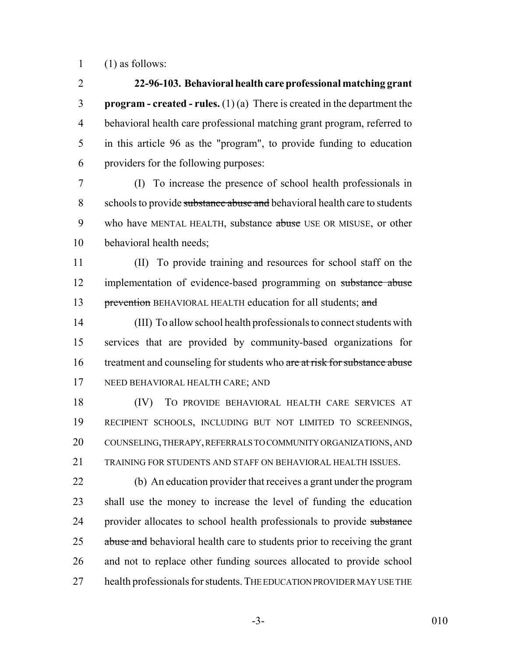1  $(1)$  as follows:

 **22-96-103. Behavioral health care professional matching grant program - created - rules.** (1) (a) There is created in the department the behavioral health care professional matching grant program, referred to in this article 96 as the "program", to provide funding to education providers for the following purposes:

 (I) To increase the presence of school health professionals in 8 schools to provide substance abuse and behavioral health care to students 9 who have MENTAL HEALTH, substance abuse USE OR MISUSE, or other behavioral health needs;

 (II) To provide training and resources for school staff on the 12 implementation of evidence-based programming on substance abuse 13 prevention BEHAVIORAL HEALTH education for all students; and

 (III) To allow school health professionals to connect students with services that are provided by community-based organizations for 16 treatment and counseling for students who are at risk for substance abuse NEED BEHAVIORAL HEALTH CARE; AND

 (IV) TO PROVIDE BEHAVIORAL HEALTH CARE SERVICES AT RECIPIENT SCHOOLS, INCLUDING BUT NOT LIMITED TO SCREENINGS, COUNSELING, THERAPY, REFERRALS TO COMMUNITY ORGANIZATIONS, AND TRAINING FOR STUDENTS AND STAFF ON BEHAVIORAL HEALTH ISSUES.

 (b) An education provider that receives a grant under the program shall use the money to increase the level of funding the education 24 provider allocates to school health professionals to provide substance 25 abuse and behavioral health care to students prior to receiving the grant and not to replace other funding sources allocated to provide school 27 health professionals for students. THE EDUCATION PROVIDER MAY USE THE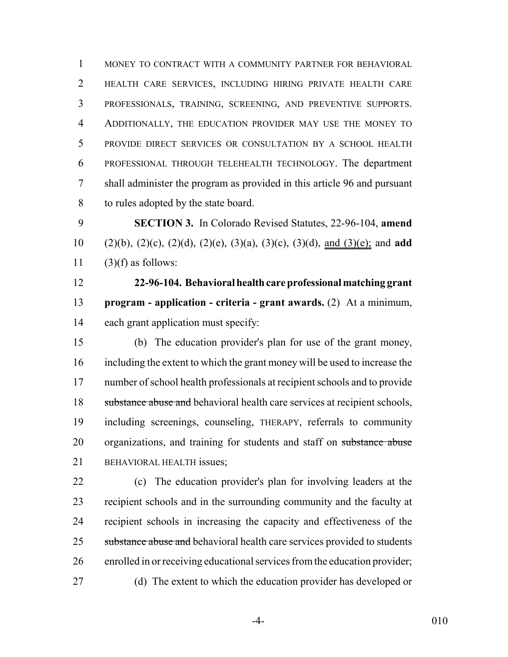MONEY TO CONTRACT WITH A COMMUNITY PARTNER FOR BEHAVIORAL HEALTH CARE SERVICES, INCLUDING HIRING PRIVATE HEALTH CARE PROFESSIONALS, TRAINING, SCREENING, AND PREVENTIVE SUPPORTS. ADDITIONALLY, THE EDUCATION PROVIDER MAY USE THE MONEY TO PROVIDE DIRECT SERVICES OR CONSULTATION BY A SCHOOL HEALTH PROFESSIONAL THROUGH TELEHEALTH TECHNOLOGY. The department shall administer the program as provided in this article 96 and pursuant to rules adopted by the state board.

 **SECTION 3.** In Colorado Revised Statutes, 22-96-104, **amend** (2)(b), (2)(c), (2)(d), (2)(e), (3)(a), (3)(c), (3)(d), and (3)(e); and **add** 11  $(3)(f)$  as follows:

 **22-96-104. Behavioral health care professional matching grant program - application - criteria - grant awards.** (2) At a minimum, each grant application must specify:

 (b) The education provider's plan for use of the grant money, including the extent to which the grant money will be used to increase the number of school health professionals at recipient schools and to provide 18 substance abuse and behavioral health care services at recipient schools, including screenings, counseling, THERAPY, referrals to community 20 organizations, and training for students and staff on substance abuse BEHAVIORAL HEALTH issues;

 (c) The education provider's plan for involving leaders at the recipient schools and in the surrounding community and the faculty at recipient schools in increasing the capacity and effectiveness of the 25 substance abuse and behavioral health care services provided to students enrolled in or receiving educational services from the education provider; (d) The extent to which the education provider has developed or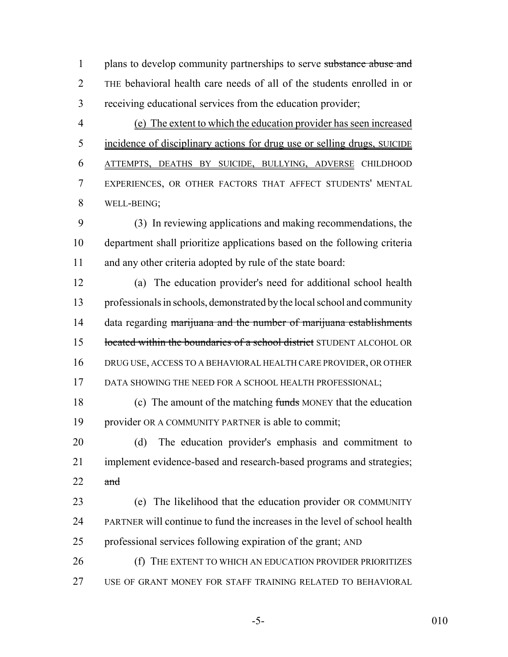1 plans to develop community partnerships to serve substance abuse and THE behavioral health care needs of all of the students enrolled in or receiving educational services from the education provider;

 (e) The extent to which the education provider has seen increased incidence of disciplinary actions for drug use or selling drugs, SUICIDE ATTEMPTS, DEATHS BY SUICIDE, BULLYING, ADVERSE CHILDHOOD EXPERIENCES, OR OTHER FACTORS THAT AFFECT STUDENTS' MENTAL WELL-BEING;

 (3) In reviewing applications and making recommendations, the department shall prioritize applications based on the following criteria and any other criteria adopted by rule of the state board:

 (a) The education provider's need for additional school health professionals in schools, demonstrated by the local school and community 14 data regarding marijuana and the number of marijuana establishments 15 located within the boundaries of a school district STUDENT ALCOHOL OR DRUG USE, ACCESS TO A BEHAVIORAL HEALTH CARE PROVIDER, OR OTHER 17 DATA SHOWING THE NEED FOR A SCHOOL HEALTH PROFESSIONAL;

 (c) The amount of the matching funds MONEY that the education provider OR A COMMUNITY PARTNER is able to commit;

 (d) The education provider's emphasis and commitment to implement evidence-based and research-based programs and strategies; and

 (e) The likelihood that the education provider OR COMMUNITY PARTNER will continue to fund the increases in the level of school health professional services following expiration of the grant; AND

**(f)** THE EXTENT TO WHICH AN EDUCATION PROVIDER PRIORITIZES USE OF GRANT MONEY FOR STAFF TRAINING RELATED TO BEHAVIORAL